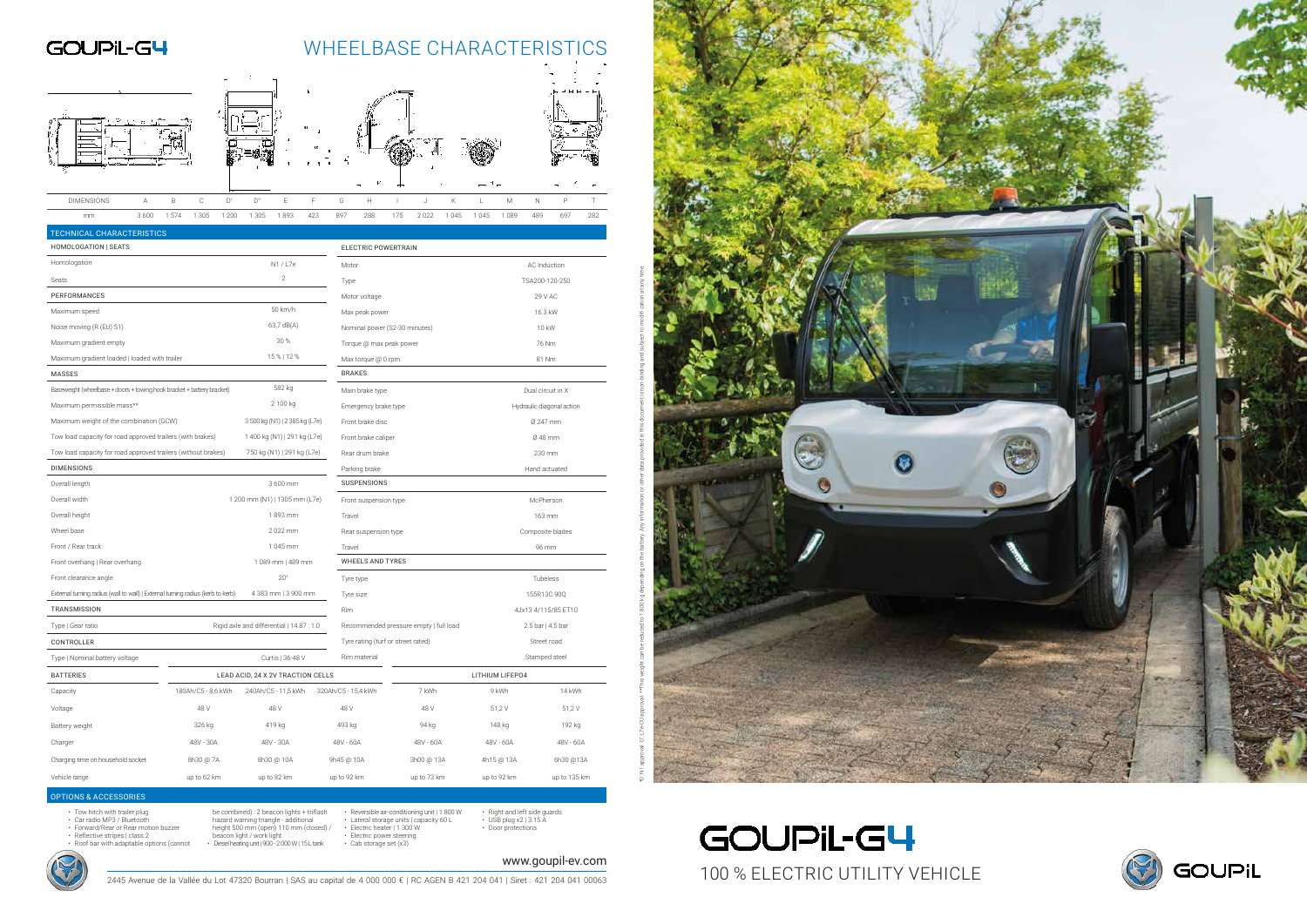2445 Avenue de la Vallée du Lot 47320 Bourran | SAS au capital de 4 000 000 € | RC AGEN B 421 204 041 | Siret : 421 204 041 00063

- 
- Tow hitch with trailer plug Car radio MP3 / Bluetooth Forward/Rear or Rear motion buzzer
- Reflective stripes | class 2 Roof bar with adaptable options (cannot
- hazard warning triangle additional<br>height 500 mm (open) 110 mm (closed) /<br>beacon light / work light<br>• Diesel heating unit | 900 2 000 W | 15 L tank
- Electric power steering Cab storage set (x3)
	-
- Right and left side guards USB plug x2 | 3.15 A Door protections



be combined) : 2 beacon lights + triflash • Reversible air-conditioning unit | 1 800 W • Lateral storage units | capacity 60 L • Electric heater | 1 300 W



| TECHNICAL CHARACTERISTICS                                                       |                    |                                           |                                    |                                        |                           |                     |  |  |  |  |  |
|---------------------------------------------------------------------------------|--------------------|-------------------------------------------|------------------------------------|----------------------------------------|---------------------------|---------------------|--|--|--|--|--|
| HOMOLOGATION   SEATS                                                            |                    |                                           | <b>ELECTRIC POWERTRAIN</b>         |                                        |                           |                     |  |  |  |  |  |
| Homologation                                                                    |                    | N1 / L7e                                  | Motor                              |                                        | AC Induction              |                     |  |  |  |  |  |
| Seats                                                                           | $\sqrt{2}$         | Type                                      |                                    | TSA200-120-250                         |                           |                     |  |  |  |  |  |
| PERFORMANCES                                                                    |                    |                                           | Motor voltage                      |                                        | 29 V AC                   |                     |  |  |  |  |  |
| Maximum speed                                                                   |                    | 50 km/h                                   | Max peak power                     |                                        |                           | 16.3 kW             |  |  |  |  |  |
| Noise moving (R (EU) 51)                                                        |                    | 63,7 dB(A)                                | Nominal power (S2-30 minutes)      |                                        | 10 kW                     |                     |  |  |  |  |  |
| Maximum gradient empty                                                          |                    | 30%                                       | Torque @ max peak power            |                                        | 76 Nm                     |                     |  |  |  |  |  |
| Maximum gradient loaded   loaded with trailer                                   |                    | 15%   12%                                 | Max torque @ 0 rpm                 |                                        | 81 Nm                     |                     |  |  |  |  |  |
| <b>MASSES</b>                                                                   |                    |                                           | <b>BRAKES</b>                      |                                        |                           |                     |  |  |  |  |  |
| Baseweight (wheelbase + doors + towing hook bracket + battery bracket)          |                    | 582 kg                                    | Main brake type                    |                                        | Dual circuit in X         |                     |  |  |  |  |  |
| Maximum permissible mass**                                                      |                    | 2 100 kg                                  | Emergency brake type               |                                        | Hydraulic diagonal action |                     |  |  |  |  |  |
| Maximum weight of the combination (GCW)                                         |                    | 3 500 kg (N1)   2 385 kg (L7e)            | Front brake disc                   |                                        | Ø 247 mm                  |                     |  |  |  |  |  |
| Tow load capacity for road approved trailers (with brakes)                      |                    | 1 400 kg (N1)   291 kg (L7e)              | Front brake caliper                |                                        | Ø 48 mm                   |                     |  |  |  |  |  |
| Tow load capacity for road approved trailers (without brakes)                   |                    | 750 kg (N1)   291 kg (L7e)                | Rear drum brake                    |                                        | 230 mm                    |                     |  |  |  |  |  |
| <b>DIMENSIONS</b>                                                               |                    |                                           | Parking brake                      |                                        | Hand actuated             |                     |  |  |  |  |  |
| Overall length                                                                  |                    | 3 600 mm                                  | <b>SUSPENSIONS</b>                 |                                        |                           |                     |  |  |  |  |  |
| Overall width                                                                   |                    | 1 200 mm (N1)   1305 mm (L7e)             | Front suspension type              |                                        | McPherson                 |                     |  |  |  |  |  |
| Overall height                                                                  |                    | 1893 mm                                   | Travel                             |                                        | 163 mm                    |                     |  |  |  |  |  |
| Wheel base                                                                      |                    | 2022 mm                                   | Rear suspension type               |                                        | Composite blades          |                     |  |  |  |  |  |
| Front / Rear track                                                              |                    | 1 045 mm                                  | Travel                             |                                        | 96 mm                     |                     |  |  |  |  |  |
| Front overhang   Rear overhang                                                  |                    | 1 089 mm   489 mm                         |                                    | <b>WHEELS AND TYRES</b>                |                           |                     |  |  |  |  |  |
| Front clearance angle                                                           |                    | $20^{\circ}$                              | Tyre type                          | Tubeless                               |                           |                     |  |  |  |  |  |
| External turning radius (wall to wall)   External turning radius (kerb to kerb) |                    | 4 383 mm   3 900 mm                       | Tyre size                          |                                        | 155R13C 90Q               |                     |  |  |  |  |  |
| <b>TRANSMISSION</b>                                                             |                    |                                           | Rim                                |                                        |                           | 4Jx13 4/115/85 ET10 |  |  |  |  |  |
| Type   Gear ratio                                                               |                    | Rigid axle and differential   14.87 : 1.0 |                                    | Recommended pressure empty   full load | 2.5 bar   4.5 bar         |                     |  |  |  |  |  |
| CONTROLLER                                                                      |                    |                                           | Tyre rating (turf or street rated) |                                        | Street road               |                     |  |  |  |  |  |
| Type   Nominal battery voltage                                                  |                    | Curtis   36-48 V                          | Rim material                       |                                        |                           | Stamped steel       |  |  |  |  |  |
| <b>BATTERIES</b>                                                                |                    | LEAD ACID, 24 X 2V TRACTION CELLS         |                                    |                                        | LITHIUM LIFEP04           |                     |  |  |  |  |  |
| Capacity                                                                        | 180Ah/C5 - 8,6 kWh | 240Ah/C5 - 11,5 kWh                       | 320Ah/C5 - 15,4 kWh                | 7 kWh                                  | 9 kWh                     | 14 kWh              |  |  |  |  |  |
| Voltage                                                                         | 48 V               | 48 V                                      | 48 V                               | 48 V                                   | 51,2V                     | 51,2 V              |  |  |  |  |  |
| Battery weight                                                                  | 326 kg             | 419 kg                                    | 493 kg                             | 94 kg                                  | 148 kg                    | 192 kg              |  |  |  |  |  |
| Charger                                                                         | 48V - 30A          | 48V - 30A                                 | 48V - 60A                          | 48V - 60A                              | 48V - 60A                 | 48V - 60A           |  |  |  |  |  |
| Charging time on household socket                                               | 8h30 @ 7A          | 8h30 @ 10A                                | 9h45 @ 10A                         | 3h00 @ 13A                             | 4h15 @ 13A                | 6h30 @13A           |  |  |  |  |  |
| Vehicle range                                                                   | up to 62 km        | up to 82 km                               | up to 92 km                        | up to 73 km                            | up to 92 km               | up to 135 km        |  |  |  |  |  |

|  |                   |      |     |       |       |                   |     |     | $\mathcal{L}_{\mathcal{F}}$ |               | τT. |      |      |      |       |     |     |     |
|--|-------------------|------|-----|-------|-------|-------------------|-----|-----|-----------------------------|---------------|-----|------|------|------|-------|-----|-----|-----|
|  |                   |      |     |       |       |                   |     |     |                             | $\rightarrow$ |     |      |      |      |       |     |     |     |
|  | <b>DIMENSIONS</b> |      |     | C     | $D^*$ | $D^{\prime\star}$ |     |     | G                           | н             |     |      |      |      | M     | Ν   |     |     |
|  | mm                | 3600 | 574 | 1 305 | 200   | 305               | 893 | 423 | 897                         | 288           | 175 | 2022 | 1045 | 1045 | 1 089 | 489 | 697 | 282 |

#### OPTIONS & ACCESSORIES





# GOUPiL-G4  $\frac{\text{www.goupil-ev.com}}{11\text{ Siret}:421\text{ }204\text{ }041\text{ }00063}}$